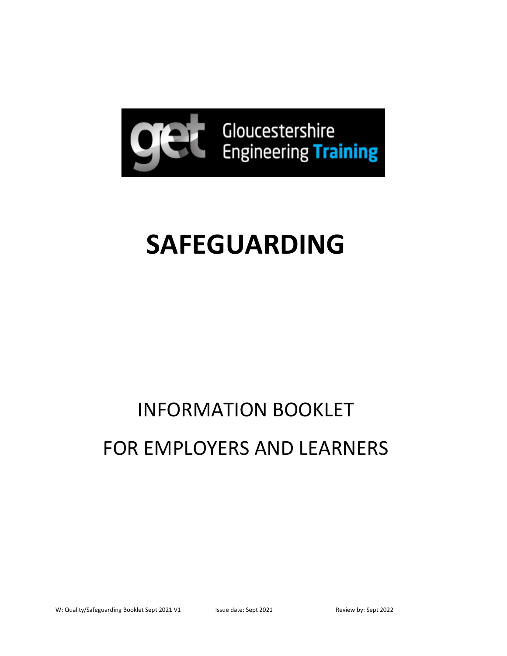

# **SAFEGUARDING**

# INFORMATION BOOKLET FOR EMPLOYERS AND LEARNERS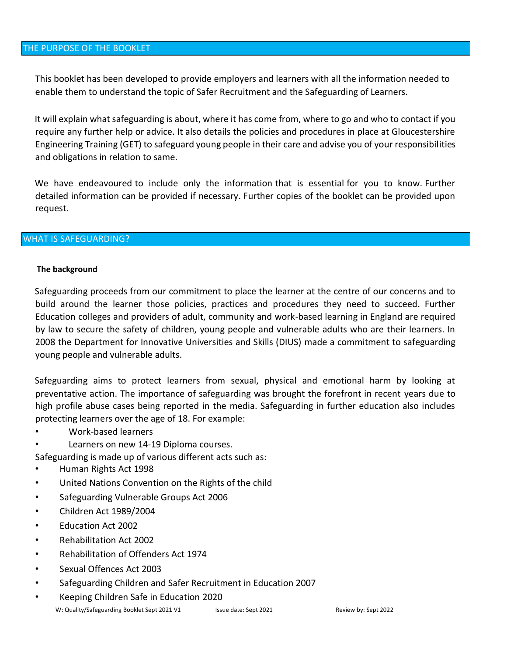This booklet has been developed to provide employers and learners with all the information needed to enable them to understand the topic of Safer Recruitment and the Safeguarding of Learners.

It will explain what safeguarding is about, where it has come from, where to go and who to contact if you require any further help or advice. It also details the policies and procedures in place at Gloucestershire Engineering Training (GET) to safeguard young people in their care and advise you of your responsibilities and obligations in relation to same.

We have endeavoured to include only the information that is essential for you to know. Further detailed information can be provided if necessary. Further copies of the booklet can be provided upon request.

### WHAT IS SAFEGUARDING?

#### **The background**

Safeguarding proceeds from our commitment to place the learner at the centre of our concerns and to build around the learner those policies, practices and procedures they need to succeed. Further Education colleges and providers of adult, community and work-based learning in England are required by law to secure the safety of children, young people and vulnerable adults who are their learners. In 2008 the Department for Innovative Universities and Skills (DIUS) made a commitment to safeguarding young people and vulnerable adults.

Safeguarding aims to protect learners from sexual, physical and emotional harm by looking at preventative action. The importance of safeguarding was brought the forefront in recent years due to high profile abuse cases being reported in the media. Safeguarding in further education also includes protecting learners over the age of 18. For example:

- Work-based learners
- Learners on new 14-19 Diploma courses.

Safeguarding is made up of various different acts such as:

- Human Rights Act 1998
- United Nations Convention on the Rights of the child
- Safeguarding Vulnerable Groups Act 2006
- Children Act 1989/2004
- Education Act 2002
- Rehabilitation Act 2002
- Rehabilitation of Offenders Act 1974
- Sexual Offences Act 2003
- Safeguarding Children and Safer Recruitment in Education 2007
- Keeping Children Safe in Education 2020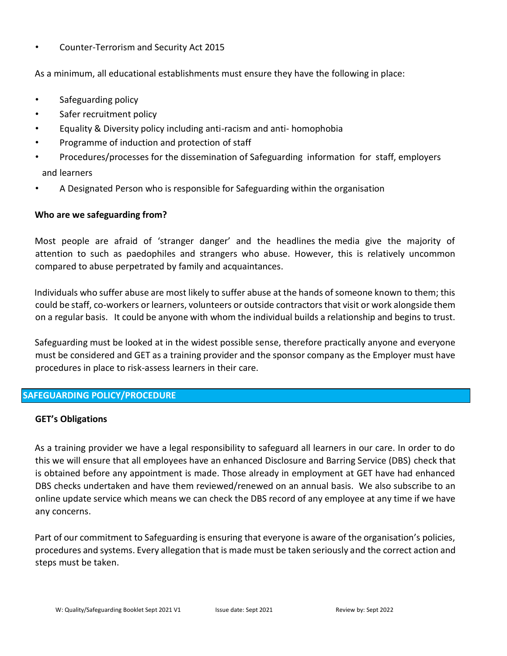• Counter-Terrorism and Security Act 2015

As a minimum, all educational establishments must ensure they have the following in place:

- Safeguarding policy
- Safer recruitment policy
- Equality & Diversity policy including anti-racism and anti- homophobia
- Programme of induction and protection of staff
- Procedures/processes for the dissemination of Safeguarding information for staff, employers and learners
- A Designated Person who is responsible for Safeguarding within the organisation

## **Who are we safeguarding from?**

Most people are afraid of 'stranger danger' and the headlines the media give the majority of attention to such as paedophiles and strangers who abuse. However, this is relatively uncommon compared to abuse perpetrated by family and acquaintances.

Individuals who suffer abuse are most likely to suffer abuse at the hands of someone known to them; this could be staff, co-workers or learners, volunteers or outside contractors that visit or work alongside them on a regular basis. It could be anyone with whom the individual builds a relationship and begins to trust.

Safeguarding must be looked at in the widest possible sense, therefore practically anyone and everyone must be considered and GET as a training provider and the sponsor company as the Employer must have procedures in place to risk-assess learners in their care.

# **SAFEGUARDING POLICY/PROCEDURE**

### **GET's Obligations**

As a training provider we have a legal responsibility to safeguard all learners in our care. In order to do this we will ensure that all employees have an enhanced Disclosure and Barring Service (DBS) check that is obtained before any appointment is made. Those already in employment at GET have had enhanced DBS checks undertaken and have them reviewed/renewed on an annual basis. We also subscribe to an online update service which means we can check the DBS record of any employee at any time if we have any concerns.

Part of our commitment to Safeguarding is ensuring that everyone is aware of the organisation's policies, procedures and systems. Every allegation that is made must be taken seriously and the correct action and steps must be taken.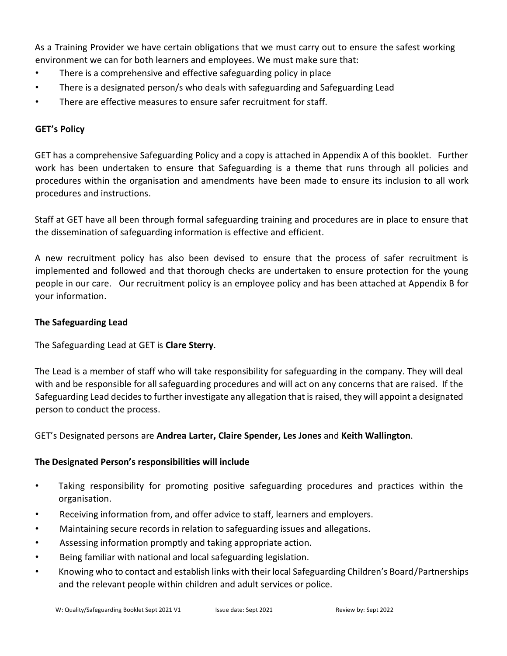As a Training Provider we have certain obligations that we must carry out to ensure the safest working environment we can for both learners and employees. We must make sure that:

- There is a comprehensive and effective safeguarding policy in place
- There is a designated person/s who deals with safeguarding and Safeguarding Lead
- There are effective measures to ensure safer recruitment for staff.

# **GET's Policy**

GET has a comprehensive Safeguarding Policy and a copy is attached in Appendix A of this booklet. Further work has been undertaken to ensure that Safeguarding is a theme that runs through all policies and procedures within the organisation and amendments have been made to ensure its inclusion to all work procedures and instructions.

Staff at GET have all been through formal safeguarding training and procedures are in place to ensure that the dissemination of safeguarding information is effective and efficient.

A new recruitment policy has also been devised to ensure that the process of safer recruitment is implemented and followed and that thorough checks are undertaken to ensure protection for the young people in our care. Our recruitment policy is an employee policy and has been attached at Appendix B for your information.

## **The Safeguarding Lead**

The Safeguarding Lead at GET is **Clare Sterry**.

The Lead is a member of staff who will take responsibility for safeguarding in the company. They will deal with and be responsible for all safeguarding procedures and will act on any concerns that are raised. If the Safeguarding Lead decides to further investigate any allegation that is raised, they will appoint a designated person to conduct the process.

GET's Designated persons are **Andrea Larter, Claire Spender, Les Jones** and **Keith Wallington**.

# **The Designated Person's responsibilities will include**

- Taking responsibility for promoting positive safeguarding procedures and practices within the organisation.
- Receiving information from, and offer advice to staff, learners and employers.
- Maintaining secure records in relation to safeguarding issues and allegations.
- Assessing information promptly and taking appropriate action.
- Being familiar with national and local safeguarding legislation.
- Knowing who to contact and establish links with their local Safeguarding Children's Board/Partnerships and the relevant people within children and adult services or police.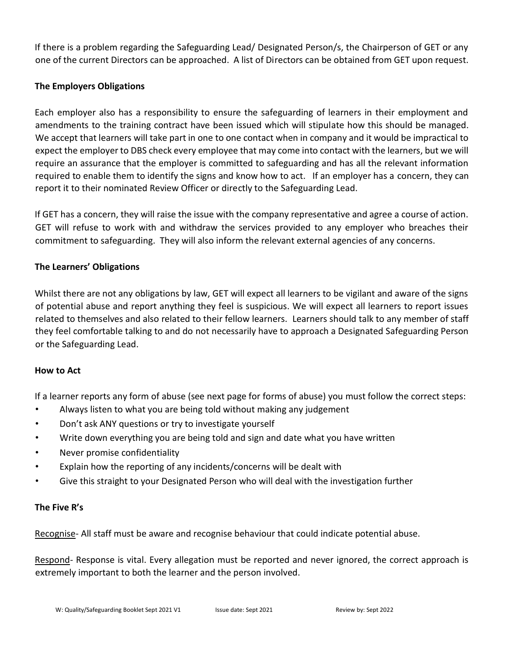If there is a problem regarding the Safeguarding Lead/ Designated Person/s, the Chairperson of GET or any one of the current Directors can be approached. A list of Directors can be obtained from GET upon request.

# **The Employers Obligations**

Each employer also has a responsibility to ensure the safeguarding of learners in their employment and amendments to the training contract have been issued which will stipulate how this should be managed. We accept that learners will take part in one to one contact when in company and it would be impractical to expect the employer to DBS check every employee that may come into contact with the learners, but we will require an assurance that the employer is committed to safeguarding and has all the relevant information required to enable them to identify the signs and know how to act. If an employer has a concern, they can report it to their nominated Review Officer or directly to the Safeguarding Lead.

If GET has a concern, they will raise the issue with the company representative and agree a course of action. GET will refuse to work with and withdraw the services provided to any employer who breaches their commitment to safeguarding. They will also inform the relevant external agencies of any concerns.

## **The Learners' Obligations**

Whilst there are not any obligations by law, GET will expect all learners to be vigilant and aware of the signs of potential abuse and report anything they feel is suspicious. We will expect all learners to report issues related to themselves and also related to their fellow learners. Learners should talk to any member of staff they feel comfortable talking to and do not necessarily have to approach a Designated Safeguarding Person or the Safeguarding Lead.

### **How to Act**

If a learner reports any form of abuse (see next page for forms of abuse) you must follow the correct steps:

- Always listen to what you are being told without making any judgement
- Don't ask ANY questions or try to investigate yourself
- Write down everything you are being told and sign and date what you have written
- Never promise confidentiality
- Explain how the reporting of any incidents/concerns will be dealt with
- Give this straight to your Designated Person who will deal with the investigation further

### **The Five R's**

Recognise- All staff must be aware and recognise behaviour that could indicate potential abuse.

Respond- Response is vital. Every allegation must be reported and never ignored, the correct approach is extremely important to both the learner and the person involved.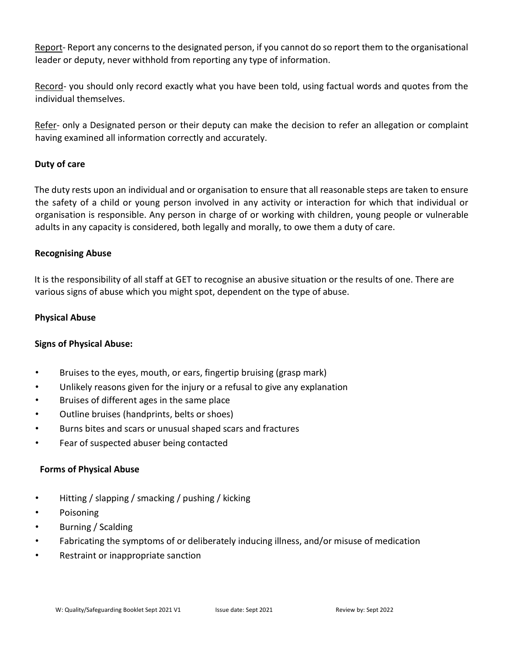Report- Report any concerns to the designated person, if you cannot do so report them to the organisational leader or deputy, never withhold from reporting any type of information.

Record- you should only record exactly what you have been told, using factual words and quotes from the individual themselves.

Refer- only a Designated person or their deputy can make the decision to refer an allegation or complaint having examined all information correctly and accurately.

# **Duty of care**

The duty rests upon an individual and or organisation to ensure that all reasonable steps are taken to ensure the safety of a child or young person involved in any activity or interaction for which that individual or organisation is responsible. Any person in charge of or working with children, young people or vulnerable adults in any capacity is considered, both legally and morally, to owe them a duty of care.

# **Recognising Abuse**

It is the responsibility of all staff at GET to recognise an abusive situation or the results of one. There are various signs of abuse which you might spot, dependent on the type of abuse.

# **Physical Abuse**

# **Signs of Physical Abuse:**

- Bruises to the eyes, mouth, or ears, fingertip bruising (grasp mark)
- Unlikely reasons given for the injury or a refusal to give any explanation
- Bruises of different ages in the same place
- Outline bruises (handprints, belts or shoes)
- Burns bites and scars or unusual shaped scars and fractures
- Fear of suspected abuser being contacted

# **Forms of Physical Abuse**

- Hitting / slapping / smacking / pushing / kicking
- Poisoning
- Burning / Scalding
- Fabricating the symptoms of or deliberately inducing illness, and/or misuse of medication
- Restraint or inappropriate sanction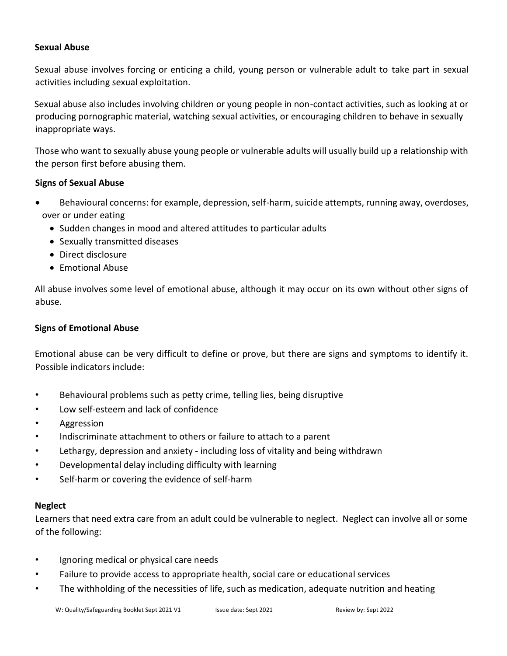### **Sexual Abuse**

Sexual abuse involves forcing or enticing a child, young person or vulnerable adult to take part in sexual activities including sexual exploitation.

Sexual abuse also includes involving children or young people in non-contact activities, such as looking at or producing pornographic material, watching sexual activities, or encouraging children to behave in sexually inappropriate ways.

Those who want to sexually abuse young people or vulnerable adults will usually build up a relationship with the person first before abusing them.

## **Signs of Sexual Abuse**

- Behavioural concerns: for example, depression, self-harm, suicide attempts, running away, overdoses, over or under eating
	- Sudden changes in mood and altered attitudes to particular adults
	- Sexually transmitted diseases
	- Direct disclosure
	- Emotional Abuse

All abuse involves some level of emotional abuse, although it may occur on its own without other signs of abuse.

## **Signs of Emotional Abuse**

Emotional abuse can be very difficult to define or prove, but there are signs and symptoms to identify it. Possible indicators include:

- Behavioural problems such as petty crime, telling lies, being disruptive
- Low self-esteem and lack of confidence
- Aggression
- Indiscriminate attachment to others or failure to attach to a parent
- Lethargy, depression and anxiety including loss of vitality and being withdrawn
- Developmental delay including difficulty with learning
- Self-harm or covering the evidence of self-harm

### **Neglect**

Learners that need extra care from an adult could be vulnerable to neglect. Neglect can involve all or some of the following:

- Ignoring medical or physical care needs
- Failure to provide access to appropriate health, social care or educational services
- The withholding of the necessities of life, such as medication, adequate nutrition and heating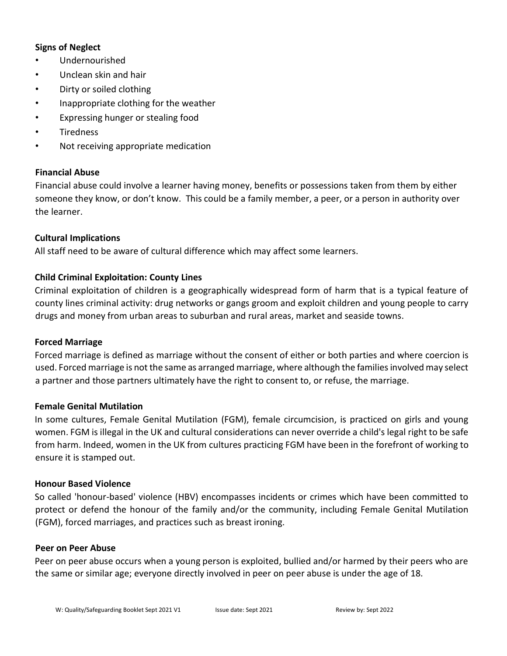## **Signs of Neglect**

- Undernourished
- Unclean skin and hair
- Dirty or soiled clothing
- Inappropriate clothing for the weather
- Expressing hunger or stealing food
- Tiredness
- Not receiving appropriate medication

### **Financial Abuse**

Financial abuse could involve a learner having money, benefits or possessions taken from them by either someone they know, or don't know. This could be a family member, a peer, or a person in authority over the learner.

### **Cultural Implications**

All staff need to be aware of cultural difference which may affect some learners.

## **Child Criminal Exploitation: County Lines**

Criminal exploitation of children is a geographically widespread form of harm that is a typical feature of county lines criminal activity: drug networks or gangs groom and exploit children and young people to carry drugs and money from urban areas to suburban and rural areas, market and seaside towns.

### **Forced Marriage**

Forced marriage is defined as marriage without the consent of either or both parties and where coercion is used. Forced marriage is not the same as arranged marriage, where although the families involved may select a partner and those partners ultimately have the right to consent to, or refuse, the marriage.

### **Female Genital Mutilation**

In some cultures, Female Genital Mutilation (FGM), female circumcision, is practiced on girls and young women. FGM is illegal in the UK and cultural considerations can never override a child's legal right to be safe from harm. Indeed, women in the UK from cultures practicing FGM have been in the forefront of working to ensure it is stamped out.

### **Honour Based Violence**

So called 'honour-based' violence (HBV) encompasses incidents or crimes which have been committed to protect or defend the honour of the family and/or the community, including Female Genital Mutilation (FGM), forced marriages, and practices such as breast ironing.

#### **Peer on Peer Abuse**

Peer on peer abuse occurs when a young person is exploited, bullied and/or harmed by their peers who are the same or similar age; everyone directly involved in peer on peer abuse is under the age of 18.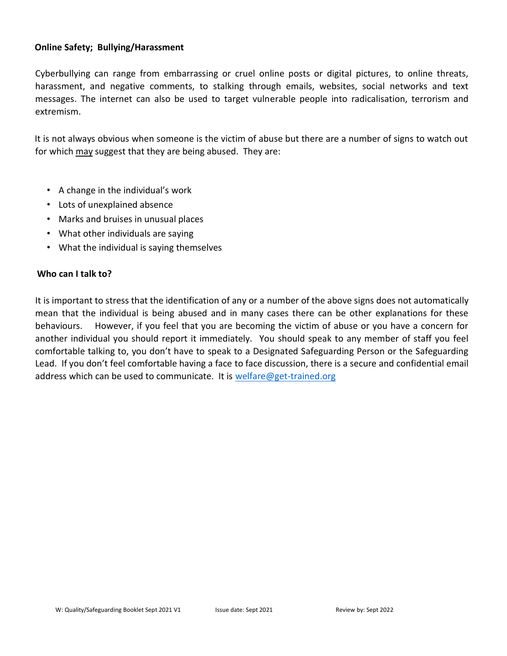#### **Online Safety; Bullying/Harassment**

Cyberbullying can range from embarrassing or cruel online posts or digital pictures, to online threats, harassment, and negative comments, to stalking through emails, websites, social networks and text messages. The internet can also be used to target vulnerable people into radicalisation, terrorism and extremism.

It is not always obvious when someone is the victim of abuse but there are a number of signs to watch out for which may suggest that they are being abused. They are:

- A change in the individual's work
- Lots of unexplained absence
- Marks and bruises in unusual places
- What other individuals are saying
- What the individual is saying themselves

#### **Who can I talk to?**

It is important to stress that the identification of any or a number of the above signs does not automatically mean that the individual is being abused and in many cases there can be other explanations for these behaviours. However, if you feel that you are becoming the victim of abuse or you have a concern for another individual you should report it immediately. You should speak to any member of staff you feel comfortable talking to, you don't have to speak to a Designated Safeguarding Person or the Safeguarding Lead. If you don't feel comfortable having a face to face discussion, there is a secure and confidential email address which can be used to communicate. It is [welfare@get-trained.org](mailto:welfare@get-trained.org)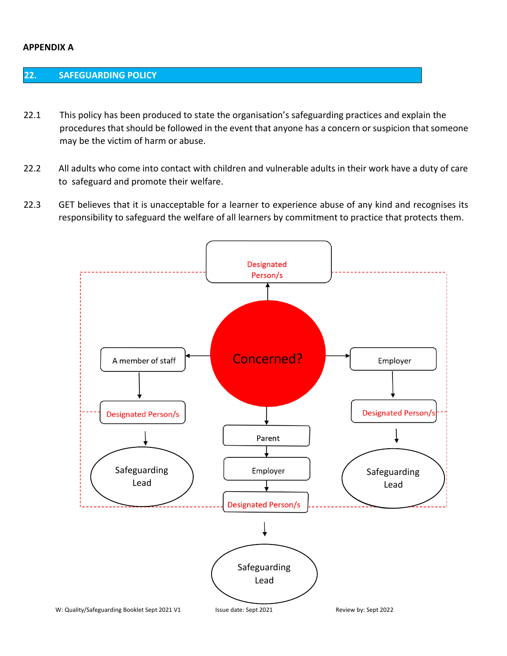#### **APPENDIX A**

## **22. SAFEGUARDING POLICY**

- 22.1 This policy has been produced to state the organisation's safeguarding practices and explain the procedures that should be followed in the event that anyone has a concern or suspicion that someone may be the victim of harm or abuse.
- 22.2 All adults who come into contact with children and vulnerable adults in their work have a duty of care to safeguard and promote their welfare.
- 22.3 GET believes that it is unacceptable for a learner to experience abuse of any kind and recognises its responsibility to safeguard the welfare of all learners by commitment to practice that protects them.

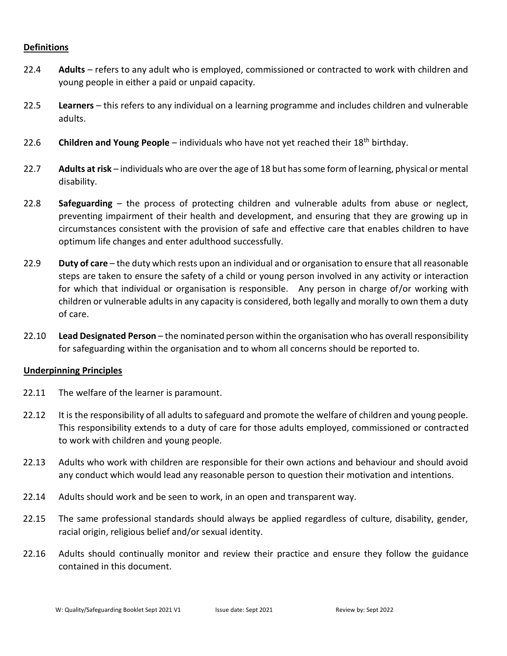#### **Definitions**

- 22.4 **Adults** refers to any adult who is employed, commissioned or contracted to work with children and young people in either a paid or unpaid capacity.
- 22.5 **Learners** this refers to any individual on a learning programme and includes children and vulnerable adults.
- 22.6 **Children and Young People** individuals who have not yet reached their 18th birthday.
- 22.7 **Adults at risk** individuals who are over the age of 18 but has some form of learning, physical or mental disability.
- 22.8 **Safeguarding** the process of protecting children and vulnerable adults from abuse or neglect, preventing impairment of their health and development, and ensuring that they are growing up in circumstances consistent with the provision of safe and effective care that enables children to have optimum life changes and enter adulthood successfully.
- 22.9 **Duty of care** the duty which rests upon an individual and or organisation to ensure that all reasonable steps are taken to ensure the safety of a child or young person involved in any activity or interaction for which that individual or organisation is responsible. Any person in charge of/or working with children or vulnerable adults in any capacity is considered, both legally and morally to own them a duty of care.
- 22.10 **Lead Designated Person**  the nominated person within the organisation who has overall responsibility for safeguarding within the organisation and to whom all concerns should be reported to.

### **Underpinning Principles**

- 22.11 The welfare of the learner is paramount.
- 22.12 It is the responsibility of all adults to safeguard and promote the welfare of children and young people. This responsibility extends to a duty of care for those adults employed, commissioned or contracted to work with children and young people.
- 22.13 Adults who work with children are responsible for their own actions and behaviour and should avoid any conduct which would lead any reasonable person to question their motivation and intentions.
- 22.14 Adults should work and be seen to work, in an open and transparent way.
- 22.15 The same professional standards should always be applied regardless of culture, disability, gender, racial origin, religious belief and/or sexual identity.
- 22.16 Adults should continually monitor and review their practice and ensure they follow the guidance contained in this document.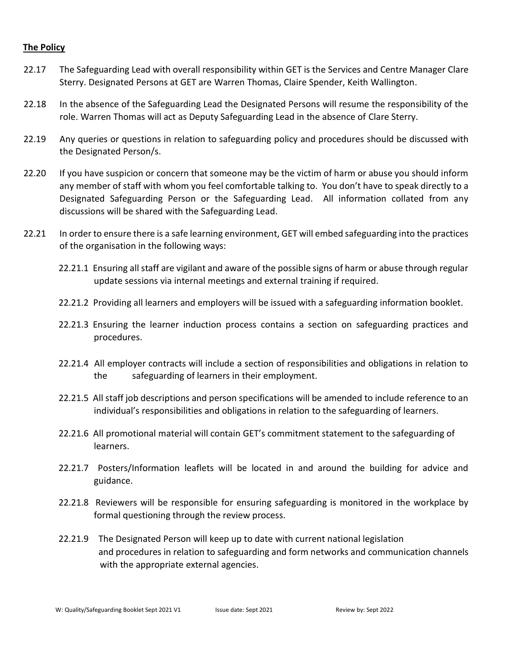### **The Policy**

- 22.17 The Safeguarding Lead with overall responsibility within GET is the Services and Centre Manager Clare Sterry. Designated Persons at GET are Warren Thomas, Claire Spender, Keith Wallington.
- 22.18 In the absence of the Safeguarding Lead the Designated Persons will resume the responsibility of the role. Warren Thomas will act as Deputy Safeguarding Lead in the absence of Clare Sterry.
- 22.19 Any queries or questions in relation to safeguarding policy and procedures should be discussed with the Designated Person/s.
- 22.20 If you have suspicion or concern that someone may be the victim of harm or abuse you should inform any member of staff with whom you feel comfortable talking to. You don't have to speak directly to a Designated Safeguarding Person or the Safeguarding Lead. All information collated from any discussions will be shared with the Safeguarding Lead.
- 22.21 In order to ensure there is a safe learning environment, GET will embed safeguarding into the practices of the organisation in the following ways:
	- 22.21.1 Ensuring all staff are vigilant and aware of the possible signs of harm or abuse through regular update sessions via internal meetings and external training if required.
	- 22.21.2 Providing all learners and employers will be issued with a safeguarding information booklet.
	- 22.21.3 Ensuring the learner induction process contains a section on safeguarding practices and procedures.
	- 22.21.4 All employer contracts will include a section of responsibilities and obligations in relation to the safeguarding of learners in their employment.
	- 22.21.5 All staff job descriptions and person specifications will be amended to include reference to an individual's responsibilities and obligations in relation to the safeguarding of learners.
	- 22.21.6 All promotional material will contain GET's commitment statement to the safeguarding of learners.
	- 22.21.7 Posters/Information leaflets will be located in and around the building for advice and guidance.
	- 22.21.8 Reviewers will be responsible for ensuring safeguarding is monitored in the workplace by formal questioning through the review process.
	- 22.21.9 The Designated Person will keep up to date with current national legislation and procedures in relation to safeguarding and form networks and communication channels with the appropriate external agencies.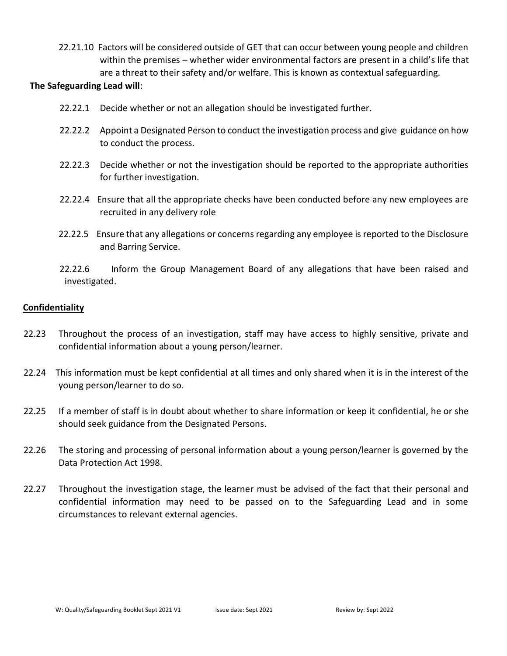22.21.10 Factors will be considered outside of GET that can occur between young people and children within the premises – whether wider environmental factors are present in a child's life that are a threat to their safety and/or welfare. This is known as contextual safeguarding.

#### **The Safeguarding Lead will**:

- 22.22.1 Decide whether or not an allegation should be investigated further.
- 22.22.2 Appoint a Designated Person to conduct the investigation process and give guidance on how to conduct the process.
- 22.22.3 Decide whether or not the investigation should be reported to the appropriate authorities for further investigation.
- 22.22.4 Ensure that all the appropriate checks have been conducted before any new employees are recruited in any delivery role
- 22.22.5 Ensure that any allegations or concerns regarding any employee is reported to the Disclosure and Barring Service.
- 22.22.6 Inform the Group Management Board of any allegations that have been raised and investigated.

### **Confidentiality**

- 22.23 Throughout the process of an investigation, staff may have access to highly sensitive, private and confidential information about a young person/learner.
- 22.24 This information must be kept confidential at all times and only shared when it is in the interest of the young person/learner to do so.
- 22.25 If a member of staff is in doubt about whether to share information or keep it confidential, he or she should seek guidance from the Designated Persons.
- 22.26 The storing and processing of personal information about a young person/learner is governed by the Data Protection Act 1998.
- 22.27 Throughout the investigation stage, the learner must be advised of the fact that their personal and confidential information may need to be passed on to the Safeguarding Lead and in some circumstances to relevant external agencies.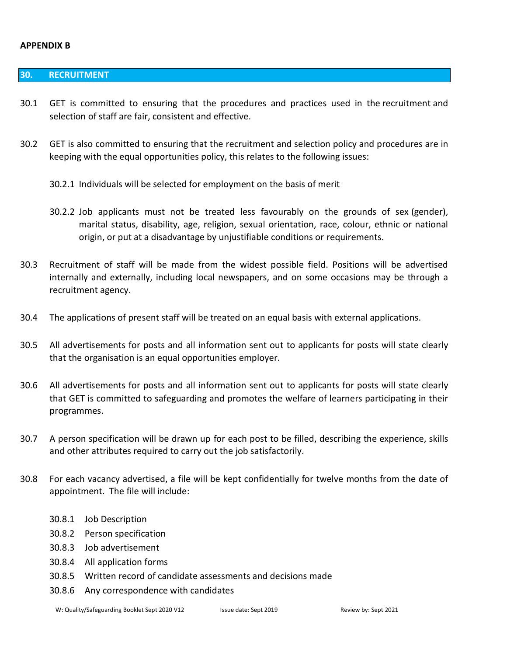#### **APPENDIX B**

#### **30. RECRUITMENT**

- 30.1 GET is committed to ensuring that the procedures and practices used in the recruitment and selection of staff are fair, consistent and effective.
- 30.2 GET is also committed to ensuring that the recruitment and selection policy and procedures are in keeping with the equal opportunities policy, this relates to the following issues:
	- 30.2.1 Individuals will be selected for employment on the basis of merit
	- 30.2.2 Job applicants must not be treated less favourably on the grounds of sex (gender), marital status, disability, age, religion, sexual orientation, race, colour, ethnic or national origin, or put at a disadvantage by unjustifiable conditions or requirements.
- 30.3 Recruitment of staff will be made from the widest possible field. Positions will be advertised internally and externally, including local newspapers, and on some occasions may be through a recruitment agency.
- 30.4 The applications of present staff will be treated on an equal basis with external applications.
- 30.5 All advertisements for posts and all information sent out to applicants for posts will state clearly that the organisation is an equal opportunities employer.
- 30.6 All advertisements for posts and all information sent out to applicants for posts will state clearly that GET is committed to safeguarding and promotes the welfare of learners participating in their programmes.
- 30.7 A person specification will be drawn up for each post to be filled, describing the experience, skills and other attributes required to carry out the job satisfactorily.
- 30.8 For each vacancy advertised, a file will be kept confidentially for twelve months from the date of appointment. The file will include:
	- 30.8.1 Job Description
	- 30.8.2 Person specification
	- 30.8.3 Job advertisement
	- 30.8.4 All application forms
	- 30.8.5 Written record of candidate assessments and decisions made
	- 30.8.6 Any correspondence with candidates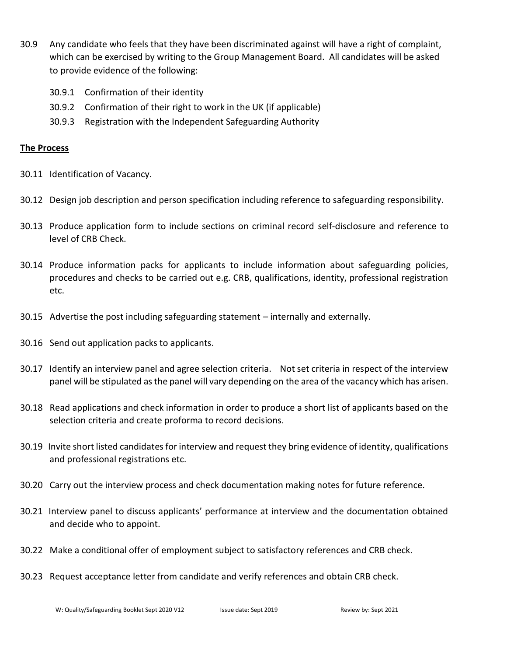- 30.9 Any candidate who feels that they have been discriminated against will have a right of complaint, which can be exercised by writing to the Group Management Board. All candidates will be asked to provide evidence of the following:
	- 30.9.1 Confirmation of their identity
	- 30.9.2 Confirmation of their right to work in the UK (if applicable)
	- 30.9.3 Registration with the Independent Safeguarding Authority

# **The Process**

- 30.11 Identification of Vacancy.
- 30.12 Design job description and person specification including reference to safeguarding responsibility.
- 30.13 Produce application form to include sections on criminal record self-disclosure and reference to level of CRB Check.
- 30.14 Produce information packs for applicants to include information about safeguarding policies, procedures and checks to be carried out e.g. CRB, qualifications, identity, professional registration etc.
- 30.15 Advertise the post including safeguarding statement internally and externally.
- 30.16 Send out application packs to applicants.
- 30.17 Identify an interview panel and agree selection criteria. Not set criteria in respect of the interview panel will be stipulated as the panel will vary depending on the area of the vacancy which has arisen.
- 30.18 Read applications and check information in order to produce a short list of applicants based on the selection criteria and create proforma to record decisions.
- 30.19 Invite short listed candidates for interview and request they bring evidence of identity, qualifications and professional registrations etc.
- 30.20 Carry out the interview process and check documentation making notes for future reference.
- 30.21 Interview panel to discuss applicants' performance at interview and the documentation obtained and decide who to appoint.
- 30.22 Make a conditional offer of employment subject to satisfactory references and CRB check.
- 30.23 Request acceptance letter from candidate and verify references and obtain CRB check.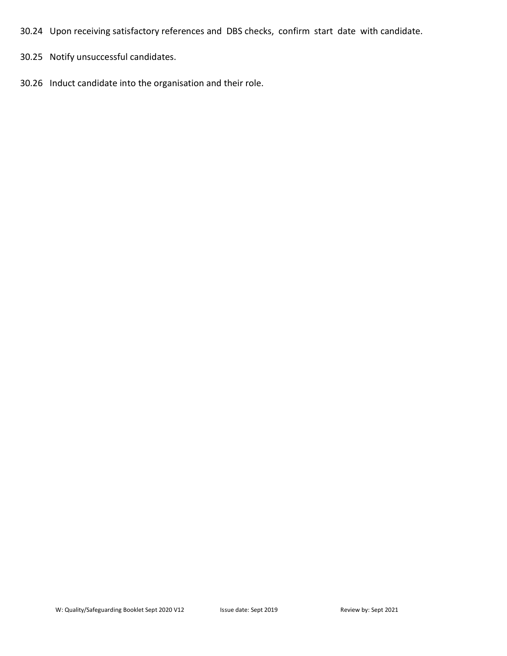30.24 Upon receiving satisfactory references and DBS checks, confirm start date with candidate.

30.25 Notify unsuccessful candidates.

30.26 Induct candidate into the organisation and their role.